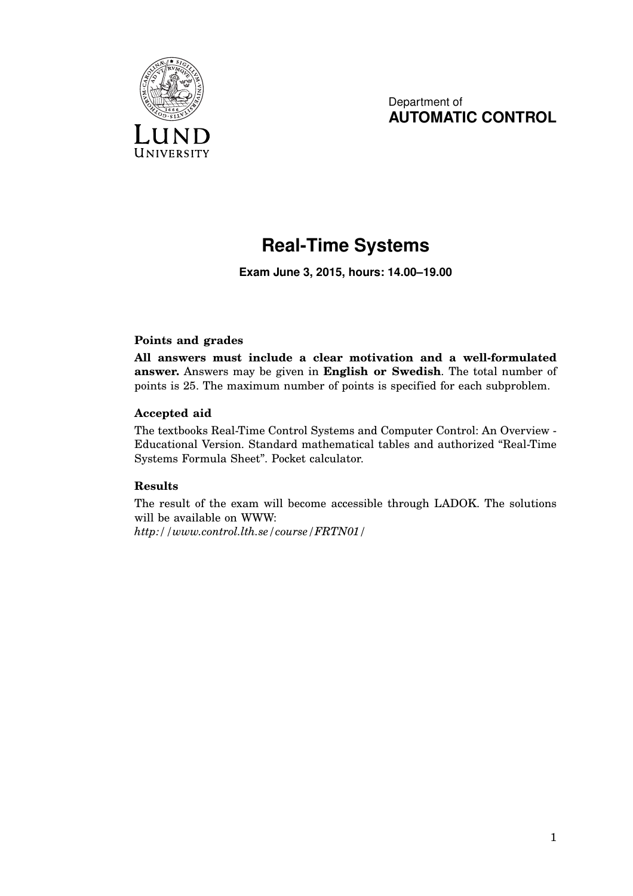

Department of **AUTOMATIC CONTROL**

## **Real-Time Systems**

**Exam June 3, 2015, hours: 14.00–19.00**

## **Points and grades**

**All answers must include a clear motivation and a well-formulated answer.** Answers may be given in **English or Swedish**. The total number of points is 25. The maximum number of points is specified for each subproblem.

## **Accepted aid**

The textbooks Real-Time Control Systems and Computer Control: An Overview - Educational Version. Standard mathematical tables and authorized "Real-Time Systems Formula Sheet". Pocket calculator.

## **Results**

The result of the exam will become accessible through LADOK. The solutions will be available on WWW:

*http://www.control.lth.se/course/FRTN01/*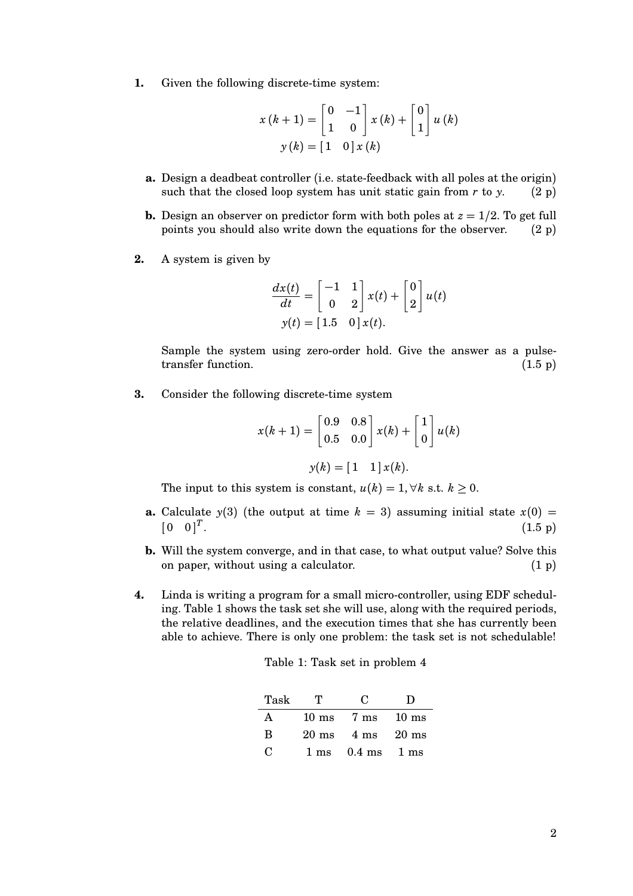**1.** Given the following discrete-time system:

$$
x(k+1) = \begin{bmatrix} 0 & -1 \\ 1 & 0 \end{bmatrix} x(k) + \begin{bmatrix} 0 \\ 1 \end{bmatrix} u(k)
$$

$$
y(k) = \begin{bmatrix} 1 & 0 \end{bmatrix} x(k)
$$

- **a.** Design a deadbeat controller (i.e. state-feedback with all poles at the origin) such that the closed loop system has unit static gain from  $r$  to  $y$ . (2 p)
- **b.** Design an observer on predictor form with both poles at  $z = 1/2$ . To get full points you should also write down the equations for the observer. (2 p)
- **2.** A system is given by

$$
\frac{dx(t)}{dt} = \begin{bmatrix} -1 & 1\\ 0 & 2 \end{bmatrix} x(t) + \begin{bmatrix} 0\\ 2 \end{bmatrix} u(t)
$$

$$
y(t) = \begin{bmatrix} 1.5 & 0 \end{bmatrix} x(t).
$$

Sample the system using zero-order hold. Give the answer as a pulsetransfer function.  $(1.5 \text{ p})$ 

**3.** Consider the following discrete-time system

$$
x(k+1) = \begin{bmatrix} 0.9 & 0.8 \\ 0.5 & 0.0 \end{bmatrix} x(k) + \begin{bmatrix} 1 \\ 0 \end{bmatrix} u(k)
$$

$$
y(k) = \begin{bmatrix} 1 & 1 \end{bmatrix} x(k).
$$

The input to this system is constant,  $u(k) = 1, \forall k$  s.t.  $k \geq 0$ .

- **a.** Calculate  $y(3)$  (the output at time  $k = 3$ ) assuming initial state  $x(0) =$  $\begin{bmatrix} 0 & 0 \end{bmatrix}^T$ .  $(1.5 \text{ p})$
- **b.** Will the system converge, and in that case, to what output value? Solve this on paper, without using a calculator.  $(1 p)$
- **4.** Linda is writing a program for a small micro-controller, using EDF scheduling. Table 1 shows the task set she will use, along with the required periods, the relative deadlines, and the execution times that she has currently been able to achieve. There is only one problem: the task set is not schedulable!

| Table 1: Task set in problem 4 |  |  |  |
|--------------------------------|--|--|--|
|--------------------------------|--|--|--|

| Task         | т               | C.                             | Ð               |
|--------------|-----------------|--------------------------------|-----------------|
| А            | $10 \text{ ms}$ | 7 ms                           | $10 \text{ ms}$ |
| B            | $20 \text{ ms}$ | $4 \text{ ms}$ $20 \text{ ms}$ |                 |
| $\mathbf{C}$ | $1 \text{ ms}$  | $0.4 \text{ ms}$               | 1 ms            |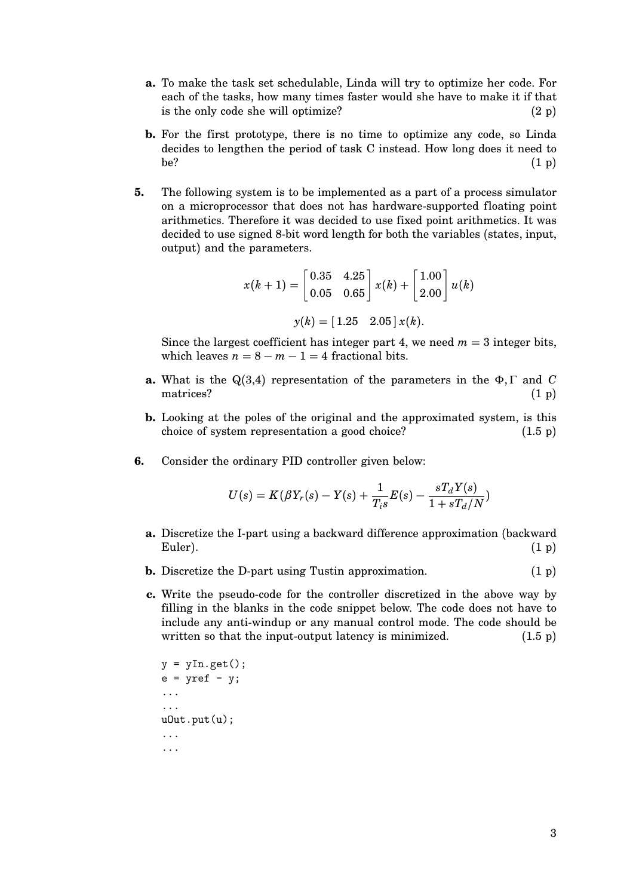- **a.** To make the task set schedulable, Linda will try to optimize her code. For each of the tasks, how many times faster would she have to make it if that is the only code she will optimize?  $(2 p)$
- **b.** For the first prototype, there is no time to optimize any code, so Linda decides to lengthen the period of task C instead. How long does it need to be?  $(1\text{ p})$
- **5.** The following system is to be implemented as a part of a process simulator on a microprocessor that does not has hardware-supported floating point arithmetics. Therefore it was decided to use fixed point arithmetics. It was decided to use signed 8-bit word length for both the variables (states, input, output) and the parameters.

$$
x(k+1) = \begin{bmatrix} 0.35 & 4.25 \\ 0.05 & 0.65 \end{bmatrix} x(k) + \begin{bmatrix} 1.00 \\ 2.00 \end{bmatrix} u(k)
$$

$$
y(k) = \begin{bmatrix} 1.25 & 2.05 \end{bmatrix} x(k).
$$

Since the largest coefficient has integer part 4, we need  $m = 3$  integer bits, which leaves  $n = 8 - m - 1 = 4$  fractional bits.

- **a.** What is the Q(3,4) representation of the parameters in the Φ, Γ and *C* matrices?  $(1 \text{ p})$
- **b.** Looking at the poles of the original and the approximated system, is this choice of system representation a good choice? (1.5 p)
- **6.** Consider the ordinary PID controller given below:

$$
U(s) = K(\beta Y_r(s) - Y(s) + \frac{1}{T_i s} E(s) - \frac{sT_d Y(s)}{1 + sT_d/N})
$$

- **a.** Discretize the I-part using a backward difference approximation (backward  $Euler$ ).  $(1 \text{ p})$
- **b.** Discretize the D-part using Tustin approximation. (1 p)
- **c.** Write the pseudo-code for the controller discretized in the above way by filling in the blanks in the code snippet below. The code does not have to include any anti-windup or any manual control mode. The code should be written so that the input-output latency is minimized.  $(1.5 \text{ p})$

```
y = yIn.get();
e = yref - y;...
...
uOut.put(u);
...
...
```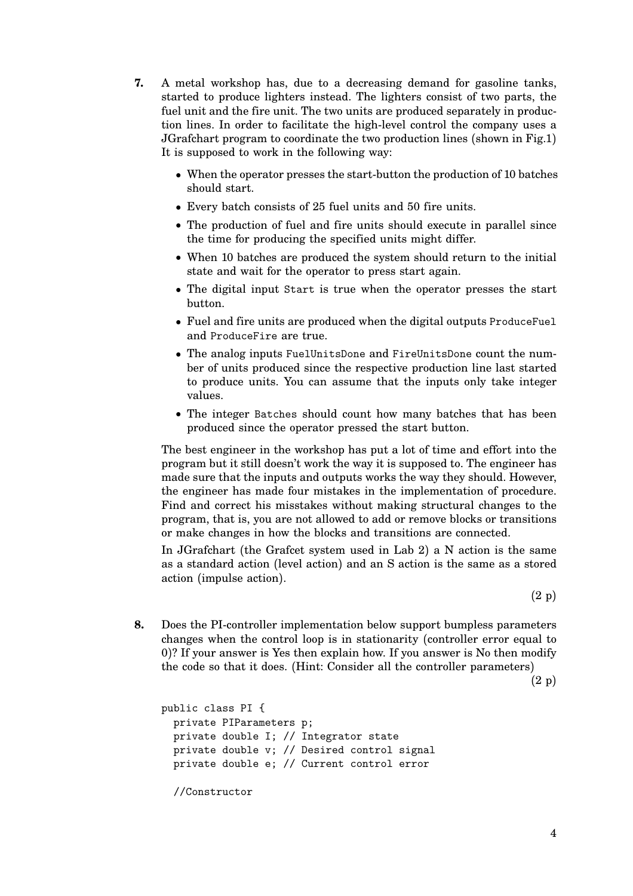- **7.** A metal workshop has, due to a decreasing demand for gasoline tanks, started to produce lighters instead. The lighters consist of two parts, the fuel unit and the fire unit. The two units are produced separately in production lines. In order to facilitate the high-level control the company uses a JGrafchart program to coordinate the two production lines (shown in Fig.1) It is supposed to work in the following way:
	- When the operator presses the start-button the production of 10 batches should start.
	- Every batch consists of 25 fuel units and 50 fire units.
	- The production of fuel and fire units should execute in parallel since the time for producing the specified units might differ.
	- When 10 batches are produced the system should return to the initial state and wait for the operator to press start again.
	- The digital input Start is true when the operator presses the start button.
	- Fuel and fire units are produced when the digital outputs ProduceFuel and ProduceFire are true.
	- The analog inputs FuelUnitsDone and FireUnitsDone count the number of units produced since the respective production line last started to produce units. You can assume that the inputs only take integer values.
	- The integer Batches should count how many batches that has been produced since the operator pressed the start button.

The best engineer in the workshop has put a lot of time and effort into the program but it still doesn't work the way it is supposed to. The engineer has made sure that the inputs and outputs works the way they should. However, the engineer has made four mistakes in the implementation of procedure. Find and correct his misstakes without making structural changes to the program, that is, you are not allowed to add or remove blocks or transitions or make changes in how the blocks and transitions are connected.

In JGrafchart (the Grafcet system used in Lab 2) a N action is the same as a standard action (level action) and an S action is the same as a stored action (impulse action).

(2 p)

**8.** Does the PI-controller implementation below support bumpless parameters changes when the control loop is in stationarity (controller error equal to 0)? If your answer is Yes then explain how. If you answer is No then modify the code so that it does. (Hint: Consider all the controller parameters)

(2 p)

```
public class PI {
  private PIParameters p;
  private double I; // Integrator state
  private double v; // Desired control signal
  private double e; // Current control error
  //Constructor
```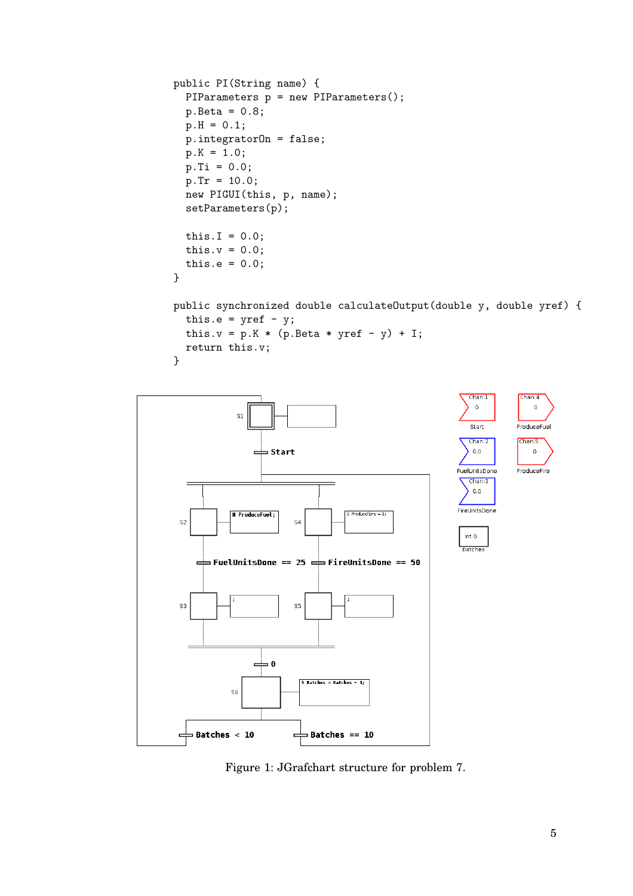```
public PI(String name) {
  PIParameters p = new PIParameters();
  p. \text{Beta} = 0.8;p.H = 0.1;p.integratorOn = false;
  p.K = 1.0;p.Ti = 0.0;p.Tr = 10.0;new PIGUI(this, p, name);
  setParameters(p);
  this.I = 0.0;
  this.v = 0.0;
  this.e = 0.0;
}
```

```
public synchronized double calculateOutput(double y, double yref) {
 this.e = yref - y;
 this.v = p.K * (p. Beta * yref - y) + I;return this.v;
}
```


Figure 1: JGrafchart structure for problem 7.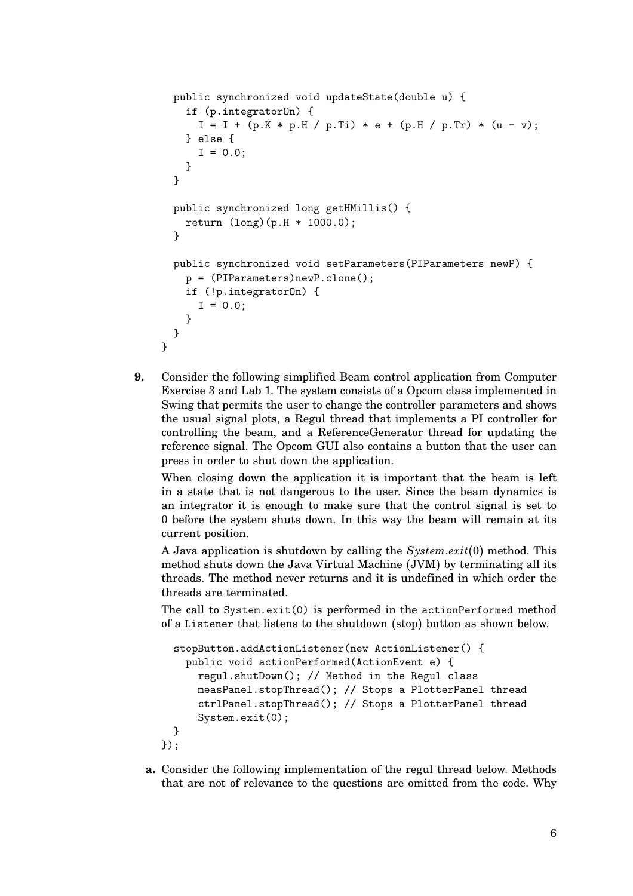```
public synchronized void updateState(double u) {
    if (p.integratorOn) {
      I = I + (p.K * p.H / p.Ti) * e + (p.H / p.Tr) * (u - v);} else {
      I = 0.0;
    }
  }
  public synchronized long getHMillis() {
    return (long)(p.H * 1000.0);
  }
  public synchronized void setParameters(PIParameters newP) {
    p = (PIParameters)newP.clone();
    if (!p.integratorOn) {
      I = 0.0;
    }
  }
}
```
**9.** Consider the following simplified Beam control application from Computer Exercise 3 and Lab 1. The system consists of a Opcom class implemented in Swing that permits the user to change the controller parameters and shows the usual signal plots, a Regul thread that implements a PI controller for controlling the beam, and a ReferenceGenerator thread for updating the reference signal. The Opcom GUI also contains a button that the user can press in order to shut down the application.

When closing down the application it is important that the beam is left in a state that is not dangerous to the user. Since the beam dynamics is an integrator it is enough to make sure that the control signal is set to 0 before the system shuts down. In this way the beam will remain at its current position.

A Java application is shutdown by calling the *System*.*exit*(0) method. This method shuts down the Java Virtual Machine (JVM) by terminating all its threads. The method never returns and it is undefined in which order the threads are terminated.

The call to System.exit(0) is performed in the actionPerformed method of a Listener that listens to the shutdown (stop) button as shown below.

```
stopButton.addActionListener(new ActionListener() {
  public void actionPerformed(ActionEvent e) {
   regul.shutDown(); // Method in the Regul class
   measPanel.stopThread(); // Stops a PlotterPanel thread
    ctrlPanel.stopThread(); // Stops a PlotterPanel thread
   System.exit(0);
}
```
- });
- **a.** Consider the following implementation of the regul thread below. Methods that are not of relevance to the questions are omitted from the code. Why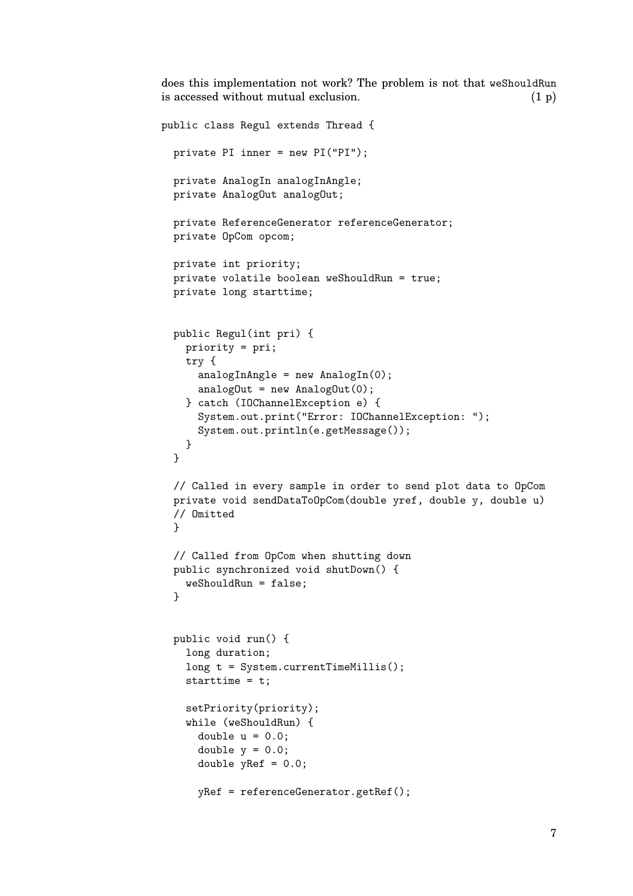does this implementation not work? The problem is not that weShouldRun is accessed without mutual exclusion.  $(1 p)$ 

```
public class Regul extends Thread {
  private PI inner = new PI("PI");
  private AnalogIn analogInAngle;
  private AnalogOut analogOut;
  private ReferenceGenerator referenceGenerator;
  private OpCom opcom;
  private int priority;
  private volatile boolean weShouldRun = true;
  private long starttime;
  public Regul(int pri) {
    priority = pri;
    try {
      analogInAngle = new AnalogIn(0);analogOut = new AnalogOut(0);
    } catch (IOChannelException e) {
      System.out.print("Error: IOChannelException: ");
      System.out.println(e.getMessage());
    }
  }
  // Called in every sample in order to send plot data to OpCom
  private void sendDataToOpCom(double yref, double y, double u)
  // Omitted
  }
  // Called from OpCom when shutting down
  public synchronized void shutDown() {
    weShouldRun = false;
  }
  public void run() {
    long duration;
    long t = System.currentTimeMillis();
    starttime = t;
    setPriority(priority);
    while (weShouldRun) {
      double u = 0.0;
      double y = 0.0;
      double yRef = 0.0;
      yRef = referenceGenerator.getRef();
```